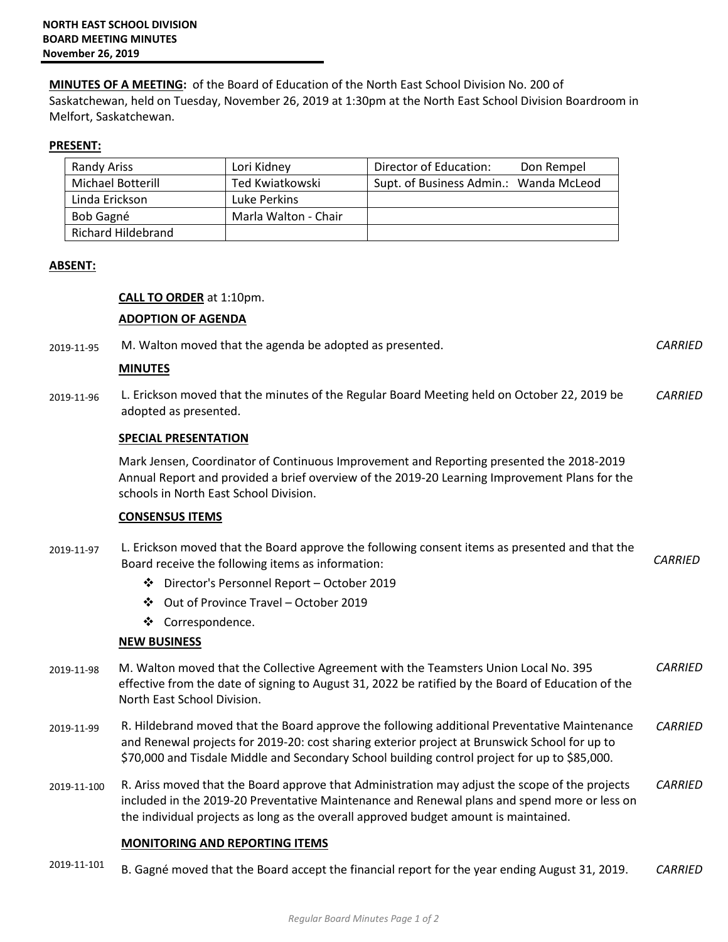**MINUTES OF A MEETING:** of the Board of Education of the North East School Division No. 200 of Saskatchewan, held on Tuesday, November 26, 2019 at 1:30pm at the North East School Division Boardroom in Melfort, Saskatchewan.

### **PRESENT:**

| <b>Randy Ariss</b> | Lori Kidney          | Director of Education:                 | Don Rempel |
|--------------------|----------------------|----------------------------------------|------------|
| Michael Botterill  | Ted Kwiatkowski      | Supt. of Business Admin.: Wanda McLeod |            |
| Linda Erickson     | Luke Perkins         |                                        |            |
| Bob Gagné          | Marla Walton - Chair |                                        |            |
| Richard Hildebrand |                      |                                        |            |

#### **ABSENT:**

## **CALL TO ORDER** at 1:10pm.

#### **ADOPTION OF AGENDA**

| 2019-11-95 | M. Walton moved that the agenda be adopted as presented.                                                                                                                                                                            | <b>CARRIED</b> |
|------------|-------------------------------------------------------------------------------------------------------------------------------------------------------------------------------------------------------------------------------------|----------------|
|            | <b>MINUTES</b>                                                                                                                                                                                                                      |                |
| 2019-11-96 | L. Erickson moved that the minutes of the Regular Board Meeting held on October 22, 2019 be<br>adopted as presented.                                                                                                                | CARRIED        |
|            | <b>SPECIAL PRESENTATION</b>                                                                                                                                                                                                         |                |
|            | Mark Jensen, Coordinator of Continuous Improvement and Reporting presented the 2018-2019<br>Annual Report and provided a brief overview of the 2019-20 Learning Improvement Plans for the<br>schools in North East School Division. |                |
|            | <b>CONSENSUS ITEMS</b>                                                                                                                                                                                                              |                |
| 2019-11-97 | L. Erickson moved that the Board approve the following consent items as presented and that the<br>Board receive the following items as information:                                                                                 | <i>CARRIED</i> |

- Director's Personnel Report October 2019
- Out of Province Travel October 2019
- ❖ Correspondence.

## **NEW BUSINESS**

- 2019-11-98 M. Walton moved that the Collective Agreement with the Teamsters Union Local No. 395 effective from the date of signing to August 31, 2022 be ratified by the Board of Education of the North East School Division. *CARRIED*
- 2019-11-99 R. Hildebrand moved that the Board approve the following additional Preventative Maintenance and Renewal projects for 2019-20: cost sharing exterior project at Brunswick School for up to \$70,000 and Tisdale Middle and Secondary School building control project for up to \$85,000. *CARRIED*
- 2019-11-100 R. Ariss moved that the Board approve that Administration may adjust the scope of the projects included in the 2019-20 Preventative Maintenance and Renewal plans and spend more or less on the individual projects as long as the overall approved budget amount is maintained. *CARRIED*

# **MONITORING AND REPORTING ITEMS**

2019-11-101 B. Gagné moved that the Board accept the financial report for the year ending August 31, 2019. *CARRIED*